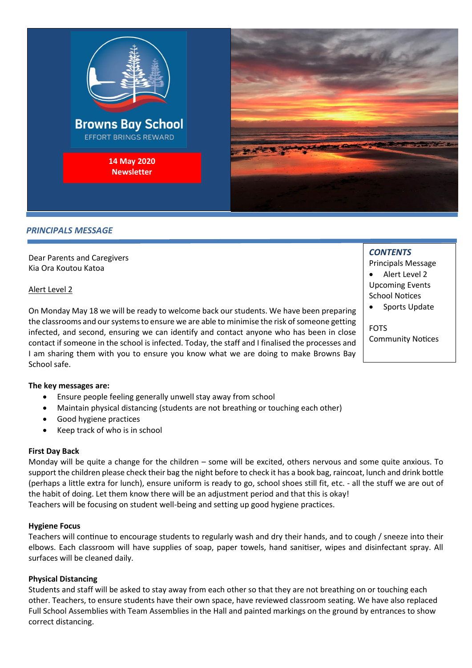

#### *PRINCIPALS MESSAGE*

Dear Parents and Caregivers Kia Ora Koutou Katoa

#### Alert Level 2

On Monday May 18 we will be ready to welcome back our students. We have been preparing the classrooms and our systems to ensure we are able to minimise the risk of someone getting infected, and second, ensuring we can identify and contact anyone who has been in close contact if someone in the school is infected. Today, the staff and I finalised the processes and I am sharing them with you to ensure you know what we are doing to make Browns Bay School safe.

#### **The key messages are:**

- Ensure people feeling generally unwell stay away from school
- Maintain physical distancing (students are not breathing or touching each other)
- Good hygiene practices
- Keep track of who is in school

#### **First Day Back**

Monday will be quite a change for the children – some will be excited, others nervous and some quite anxious. To support the children please check their bag the night before to check it has a book bag, raincoat, lunch and drink bottle (perhaps a little extra for lunch), ensure uniform is ready to go, school shoes still fit, etc. - all the stuff we are out of the habit of doing. Let them know there will be an adjustment period and that this is okay! Teachers will be focusing on student well-being and setting up good hygiene practices.

#### **Hygiene Focus**

Teachers will continue to encourage students to regularly wash and dry their hands, and to cough / sneeze into their elbows. Each classroom will have supplies of soap, paper towels, hand sanitiser, wipes and disinfectant spray. All surfaces will be cleaned daily.

#### **Physical Distancing**

Students and staff will be asked to stay away from each other so that they are not breathing on or touching each other. Teachers, to ensure students have their own space, have reviewed classroom seating. We have also replaced Full School Assemblies with Team Assemblies in the Hall and painted markings on the ground by entrances to show correct distancing.

# *CONTENTS*

Principals Message

- Alert Level 2 Upcoming Events School Notices
- Sports Update

FOTS Community Notices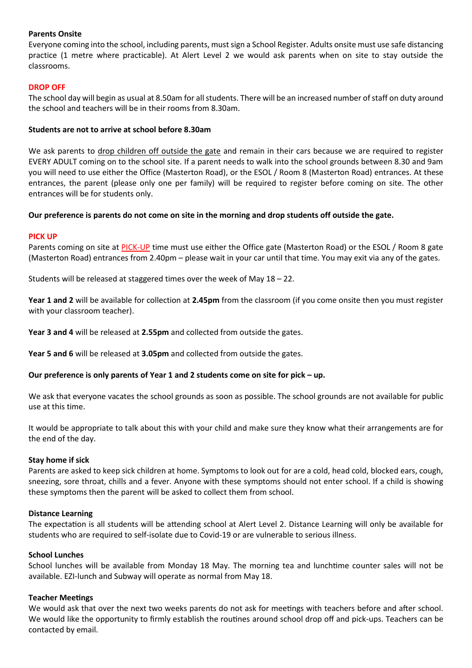## **Parents Onsite**

Everyone coming into the school, including parents, must sign a School Register. Adults onsite must use safe distancing practice (1 metre where practicable). At Alert Level 2 we would ask parents when on site to stay outside the classrooms.

## **DROP OFF**

The school day will begin as usual at 8.50am for all students. There will be an increased number of staff on duty around the school and teachers will be in their rooms from 8.30am.

#### **Students are not to arrive at school before 8.30am**

We ask parents to drop children off outside the gate and remain in their cars because we are required to register EVERY ADULT coming on to the school site. If a parent needs to walk into the school grounds between 8.30 and 9am you will need to use either the Office (Masterton Road), or the ESOL / Room 8 (Masterton Road) entrances. At these entrances, the parent (please only one per family) will be required to register before coming on site. The other entrances will be for students only.

# **Our preference is parents do not come on site in the morning and drop students off outside the gate.**

#### **PICK UP**

Parents coming on site at PICK-UP time must use either the Office gate (Masterton Road) or the ESOL / Room 8 gate (Masterton Road) entrances from 2.40pm – please wait in your car until that time. You may exit via any of the gates.

Students will be released at staggered times over the week of May 18 – 22.

**Year 1 and 2** will be available for collection at **2.45pm** from the classroom (if you come onsite then you must register with your classroom teacher).

**Year 3 and 4** will be released at **2.55pm** and collected from outside the gates.

**Year 5 and 6** will be released at **3.05pm** and collected from outside the gates.

# **Our preference is only parents of Year 1 and 2 students come on site for pick – up.**

We ask that everyone vacates the school grounds as soon as possible. The school grounds are not available for public use at this time.

It would be appropriate to talk about this with your child and make sure they know what their arrangements are for the end of the day.

#### **Stay home if sick**

Parents are asked to keep sick children at home. Symptoms to look out for are a cold, head cold, blocked ears, cough, sneezing, sore throat, chills and a fever. Anyone with these symptoms should not enter school. If a child is showing these symptoms then the parent will be asked to collect them from school.

#### **Distance Learning**

The expectation is all students will be attending school at Alert Level 2. Distance Learning will only be available for students who are required to self-isolate due to Covid-19 or are vulnerable to serious illness.

#### **School Lunches**

School lunches will be available from Monday 18 May. The morning tea and lunchtime counter sales will not be available. EZI-lunch and Subway will operate as normal from May 18.

#### **Teacher Meetings**

We would ask that over the next two weeks parents do not ask for meetings with teachers before and after school. We would like the opportunity to firmly establish the routines around school drop off and pick-ups. Teachers can be contacted by email.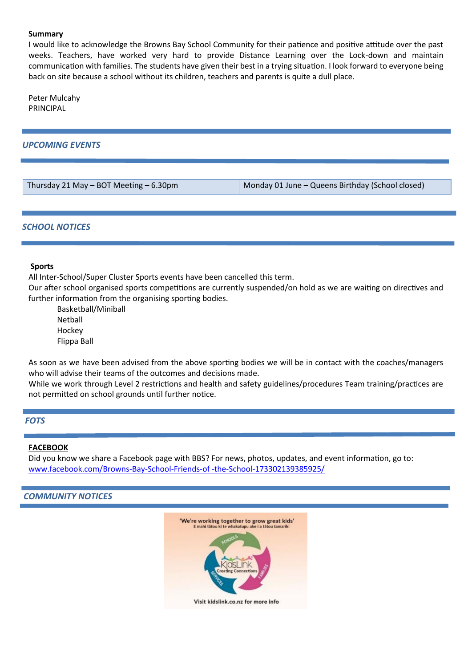#### **Summary**

I would like to acknowledge the Browns Bay School Community for their patience and positive attitude over the past weeks. Teachers, have worked very hard to provide Distance Learning over the Lock-down and maintain communication with families. The students have given their best in a trying situation. I look forward to everyone being back on site because a school without its children, teachers and parents is quite a dull place.

Peter Mulcahy PRINCIPAL

## *UPCOMING EVENTS*

Thursday 21 May – BOT Meeting – 6.30pm Monday 01 June – Queens Birthday (School closed)

#### *SCHOOL NOTICES*

#### **Sports**

All Inter-School/Super Cluster Sports events have been cancelled this term.

Our after school organised sports competitions are currently suspended/on hold as we are waiting on directives and further information from the organising sporting bodies.

Basketball/Miniball Netball Hockey Flippa Ball

As soon as we have been advised from the above sporting bodies we will be in contact with the coaches/managers who will advise their teams of the outcomes and decisions made.

While we work through Level 2 restrictions and health and safety guidelines/procedures Team training/practices are not permitted on school grounds until further notice.

#### *FOTS*

#### **FACEBOOK**

Did you know we share a Facebook page with BBS? For news, photos, updates, and event information, go to: [www.facebook.com/Browns-Bay-School-Friends-of -the-School-173302139385925/](http://www.facebook.com/Browns-Bay-School-Friends-of%20-the-School-173302139385925/)

#### *COMMUNITY NOTICES*